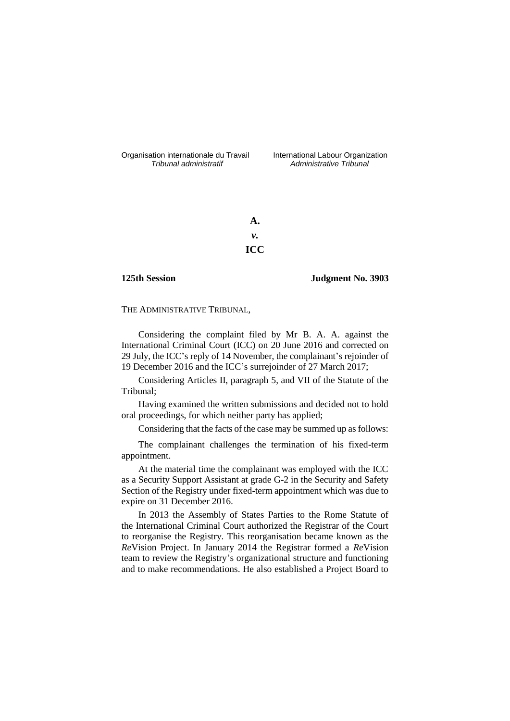Organisation internationale du Travail International Labour Organization<br>*Tribunal administratif Administrative Tribunal* 

*Tribunal administratif Administrative Tribunal*

**A.** *v.* **ICC**

# **125th Session Judgment No. 3903**

THE ADMINISTRATIVE TRIBUNAL,

Considering the complaint filed by Mr B. A. A. against the International Criminal Court (ICC) on 20 June 2016 and corrected on 29 July, the ICC's reply of 14 November, the complainant's rejoinder of 19 December 2016 and the ICC's surrejoinder of 27 March 2017;

Considering Articles II, paragraph 5, and VII of the Statute of the Tribunal;

Having examined the written submissions and decided not to hold oral proceedings, for which neither party has applied;

Considering that the facts of the case may be summed up as follows:

The complainant challenges the termination of his fixed-term appointment.

At the material time the complainant was employed with the ICC as a Security Support Assistant at grade G-2 in the Security and Safety Section of the Registry under fixed-term appointment which was due to expire on 31 December 2016.

In 2013 the Assembly of States Parties to the Rome Statute of the International Criminal Court authorized the Registrar of the Court to reorganise the Registry. This reorganisation became known as the *Re*Vision Project. In January 2014 the Registrar formed a *Re*Vision team to review the Registry's organizational structure and functioning and to make recommendations. He also established a Project Board to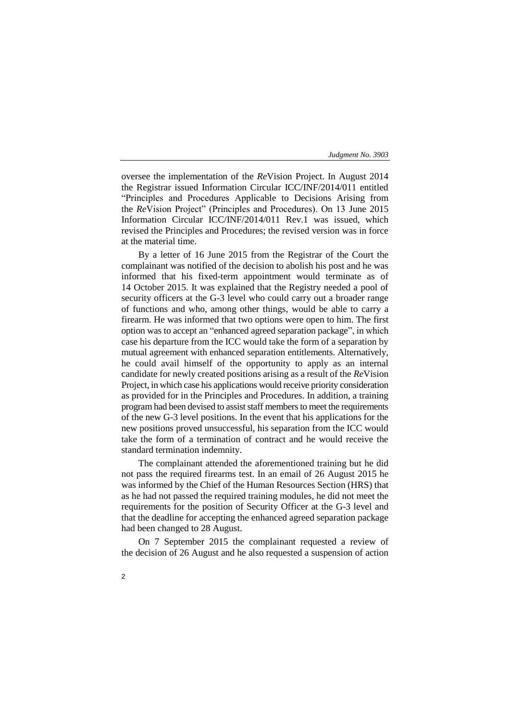oversee the implementation of the *Re*Vision Project. In August 2014 the Registrar issued Information Circular ICC/INF/2014/011 entitled "Principles and Procedures Applicable to Decisions Arising from the *Re*Vision Project" (Principles and Procedures). On 13 June 2015 Information Circular ICC/INF/2014/011 Rev.1 was issued, which revised the Principles and Procedures; the revised version was in force at the material time.

By a letter of 16 June 2015 from the Registrar of the Court the complainant was notified of the decision to abolish his post and he was informed that his fixed-term appointment would terminate as of 14 October 2015. It was explained that the Registry needed a pool of security officers at the G-3 level who could carry out a broader range of functions and who, among other things, would be able to carry a firearm. He was informed that two options were open to him. The first option was to accept an "enhanced agreed separation package", in which case his departure from the ICC would take the form of a separation by mutual agreement with enhanced separation entitlements. Alternatively, he could avail himself of the opportunity to apply as an internal candidate for newly created positions arising as a result of the *Re*Vision Project, in which case his applications would receive priority consideration as provided for in the Principles and Procedures. In addition, a training program had been devised to assist staff members to meet the requirements of the new G-3 level positions. In the event that his applications for the new positions proved unsuccessful, his separation from the ICC would take the form of a termination of contract and he would receive the standard termination indemnity.

The complainant attended the aforementioned training but he did not pass the required firearms test. In an email of 26 August 2015 he was informed by the Chief of the Human Resources Section (HRS) that as he had not passed the required training modules, he did not meet the requirements for the position of Security Officer at the G-3 level and that the deadline for accepting the enhanced agreed separation package had been changed to 28 August.

On 7 September 2015 the complainant requested a review of the decision of 26 August and he also requested a suspension of action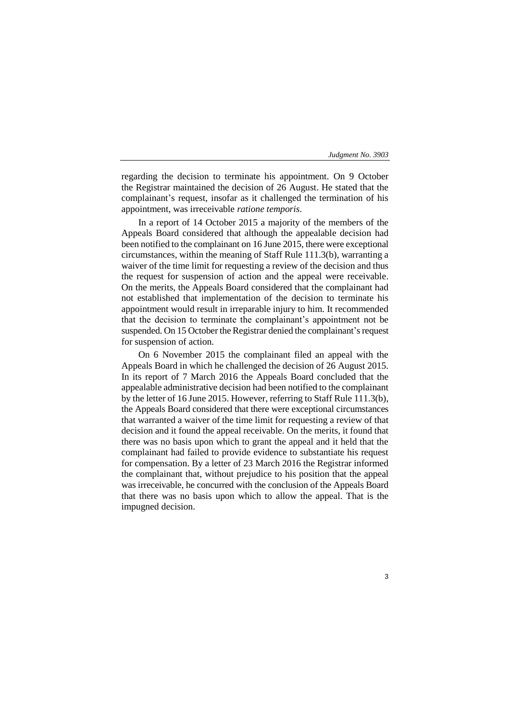3

regarding the decision to terminate his appointment. On 9 October the Registrar maintained the decision of 26 August. He stated that the complainant's request, insofar as it challenged the termination of his appointment, was irreceivable *ratione temporis*.

In a report of 14 October 2015 a majority of the members of the Appeals Board considered that although the appealable decision had been notified to the complainant on 16 June 2015, there were exceptional circumstances, within the meaning of Staff Rule 111.3(b), warranting a waiver of the time limit for requesting a review of the decision and thus the request for suspension of action and the appeal were receivable. On the merits, the Appeals Board considered that the complainant had not established that implementation of the decision to terminate his appointment would result in irreparable injury to him. It recommended that the decision to terminate the complainant's appointment not be suspended. On 15 October the Registrar denied the complainant's request for suspension of action.

On 6 November 2015 the complainant filed an appeal with the Appeals Board in which he challenged the decision of 26 August 2015. In its report of 7 March 2016 the Appeals Board concluded that the appealable administrative decision had been notified to the complainant by the letter of 16 June 2015. However, referring to Staff Rule 111.3(b), the Appeals Board considered that there were exceptional circumstances that warranted a waiver of the time limit for requesting a review of that decision and it found the appeal receivable. On the merits, it found that there was no basis upon which to grant the appeal and it held that the complainant had failed to provide evidence to substantiate his request for compensation. By a letter of 23 March 2016 the Registrar informed the complainant that, without prejudice to his position that the appeal was irreceivable, he concurred with the conclusion of the Appeals Board that there was no basis upon which to allow the appeal. That is the impugned decision.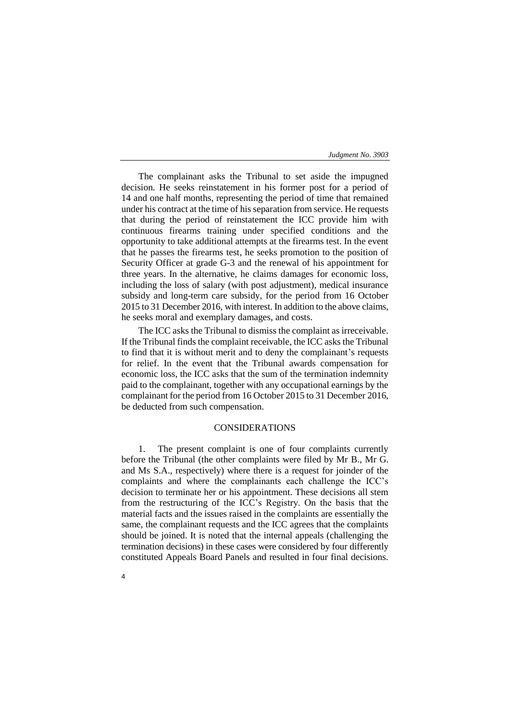The complainant asks the Tribunal to set aside the impugned decision. He seeks reinstatement in his former post for a period of 14 and one half months, representing the period of time that remained under his contract at the time of his separation from service. He requests that during the period of reinstatement the ICC provide him with continuous firearms training under specified conditions and the opportunity to take additional attempts at the firearms test. In the event that he passes the firearms test, he seeks promotion to the position of Security Officer at grade G-3 and the renewal of his appointment for three years. In the alternative, he claims damages for economic loss, including the loss of salary (with post adjustment), medical insurance subsidy and long-term care subsidy, for the period from 16 October 2015 to 31 December 2016, with interest. In addition to the above claims, he seeks moral and exemplary damages, and costs.

The ICC asks the Tribunal to dismiss the complaint as irreceivable. If the Tribunal finds the complaint receivable, the ICC asks the Tribunal to find that it is without merit and to deny the complainant's requests for relief. In the event that the Tribunal awards compensation for economic loss, the ICC asks that the sum of the termination indemnity paid to the complainant, together with any occupational earnings by the complainant for the period from 16 October 2015 to 31 December 2016, be deducted from such compensation.

# CONSIDERATIONS

1. The present complaint is one of four complaints currently before the Tribunal (the other complaints were filed by Mr B., Mr G. and Ms S.A., respectively) where there is a request for joinder of the complaints and where the complainants each challenge the ICC's decision to terminate her or his appointment. These decisions all stem from the restructuring of the ICC's Registry. On the basis that the material facts and the issues raised in the complaints are essentially the same, the complainant requests and the ICC agrees that the complaints should be joined. It is noted that the internal appeals (challenging the termination decisions) in these cases were considered by four differently constituted Appeals Board Panels and resulted in four final decisions.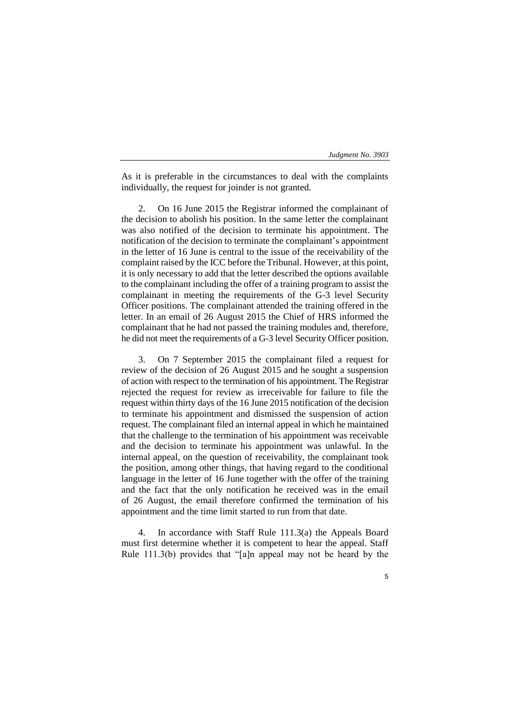As it is preferable in the circumstances to deal with the complaints individually, the request for joinder is not granted.

2. On 16 June 2015 the Registrar informed the complainant of the decision to abolish his position. In the same letter the complainant was also notified of the decision to terminate his appointment. The notification of the decision to terminate the complainant's appointment in the letter of 16 June is central to the issue of the receivability of the complaint raised by the ICC before the Tribunal. However, at this point, it is only necessary to add that the letter described the options available to the complainant including the offer of a training program to assist the complainant in meeting the requirements of the G-3 level Security Officer positions. The complainant attended the training offered in the letter. In an email of 26 August 2015 the Chief of HRS informed the complainant that he had not passed the training modules and, therefore, he did not meet the requirements of a G-3 level Security Officer position.

3. On 7 September 2015 the complainant filed a request for review of the decision of 26 August 2015 and he sought a suspension of action with respect to the termination of his appointment. The Registrar rejected the request for review as irreceivable for failure to file the request within thirty days of the 16 June 2015 notification of the decision to terminate his appointment and dismissed the suspension of action request. The complainant filed an internal appeal in which he maintained that the challenge to the termination of his appointment was receivable and the decision to terminate his appointment was unlawful. In the internal appeal, on the question of receivability, the complainant took the position, among other things, that having regard to the conditional language in the letter of 16 June together with the offer of the training and the fact that the only notification he received was in the email of 26 August, the email therefore confirmed the termination of his appointment and the time limit started to run from that date.

4. In accordance with Staff Rule 111.3(a) the Appeals Board must first determine whether it is competent to hear the appeal. Staff Rule 111.3(b) provides that "[a]n appeal may not be heard by the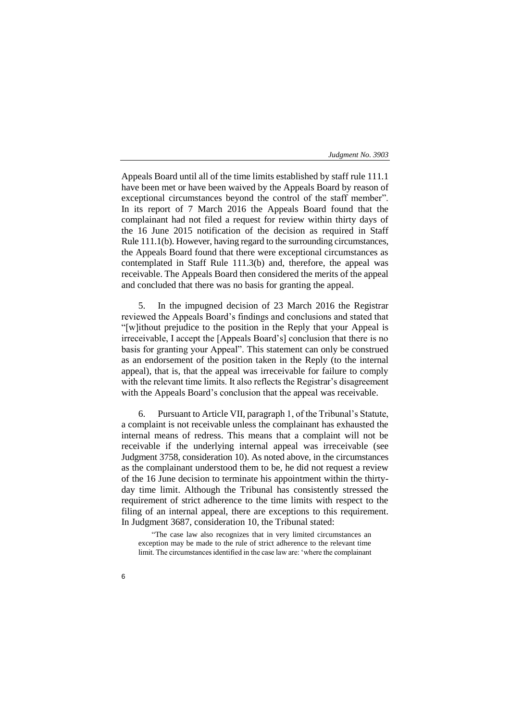Appeals Board until all of the time limits established by staff rule 111.1 have been met or have been waived by the Appeals Board by reason of exceptional circumstances beyond the control of the staff member". In its report of 7 March 2016 the Appeals Board found that the complainant had not filed a request for review within thirty days of the 16 June 2015 notification of the decision as required in Staff Rule 111.1(b). However, having regard to the surrounding circumstances, the Appeals Board found that there were exceptional circumstances as contemplated in Staff Rule 111.3(b) and, therefore, the appeal was receivable. The Appeals Board then considered the merits of the appeal and concluded that there was no basis for granting the appeal.

5. In the impugned decision of 23 March 2016 the Registrar reviewed the Appeals Board's findings and conclusions and stated that "[w]ithout prejudice to the position in the Reply that your Appeal is irreceivable, I accept the [Appeals Board's] conclusion that there is no basis for granting your Appeal". This statement can only be construed as an endorsement of the position taken in the Reply (to the internal appeal), that is, that the appeal was irreceivable for failure to comply with the relevant time limits. It also reflects the Registrar's disagreement with the Appeals Board's conclusion that the appeal was receivable.

6. Pursuant to Article VII, paragraph 1, of the Tribunal's Statute, a complaint is not receivable unless the complainant has exhausted the internal means of redress. This means that a complaint will not be receivable if the underlying internal appeal was irreceivable (see Judgment 3758, consideration 10). As noted above, in the circumstances as the complainant understood them to be, he did not request a review of the 16 June decision to terminate his appointment within the thirtyday time limit. Although the Tribunal has consistently stressed the requirement of strict adherence to the time limits with respect to the filing of an internal appeal, there are exceptions to this requirement. In Judgment 3687, consideration 10, the Tribunal stated:

"The case law also recognizes that in very limited circumstances an exception may be made to the rule of strict adherence to the relevant time limit. The circumstances identified in the case law are: 'where the complainant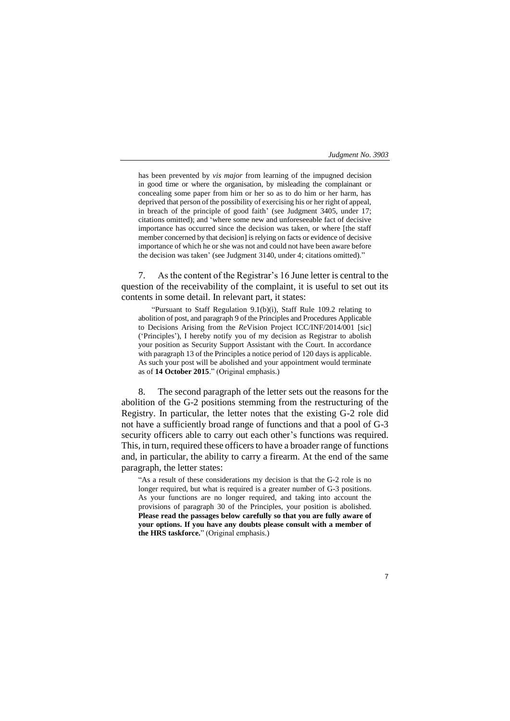has been prevented by *vis major* from learning of the impugned decision in good time or where the organisation, by misleading the complainant or concealing some paper from him or her so as to do him or her harm, has deprived that person of the possibility of exercising his or her right of appeal, in breach of the principle of good faith' (see Judgment 3405, under 17; citations omitted); and 'where some new and unforeseeable fact of decisive importance has occurred since the decision was taken, or where [the staff member concerned by that decision] is relying on facts or evidence of decisive importance of which he or she was not and could not have been aware before the decision was taken' (see Judgment 3140, under 4; citations omitted)."

7. As the content of the Registrar's 16 June letter is central to the question of the receivability of the complaint, it is useful to set out its contents in some detail. In relevant part, it states:

"Pursuant to Staff Regulation 9.1(b)(i), Staff Rule 109.2 relating to abolition of post, and paragraph 9 of the Principles and Procedures Applicable to Decisions Arising from the *Re*Vision Project ICC/INF/2014/001 [sic] ('Principles'), I hereby notify you of my decision as Registrar to abolish your position as Security Support Assistant with the Court. In accordance with paragraph 13 of the Principles a notice period of 120 days is applicable. As such your post will be abolished and your appointment would terminate as of **14 October 2015**." (Original emphasis.)

8. The second paragraph of the letter sets out the reasons for the abolition of the G-2 positions stemming from the restructuring of the Registry. In particular, the letter notes that the existing G-2 role did not have a sufficiently broad range of functions and that a pool of G-3 security officers able to carry out each other's functions was required. This, in turn, required these officers to have a broader range of functions and, in particular, the ability to carry a firearm. At the end of the same paragraph, the letter states:

"As a result of these considerations my decision is that the G-2 role is no longer required, but what is required is a greater number of G-3 positions. As your functions are no longer required, and taking into account the provisions of paragraph 30 of the Principles, your position is abolished. **Please read the passages below carefully so that you are fully aware of your options. If you have any doubts please consult with a member of the HRS taskforce.**" (Original emphasis.)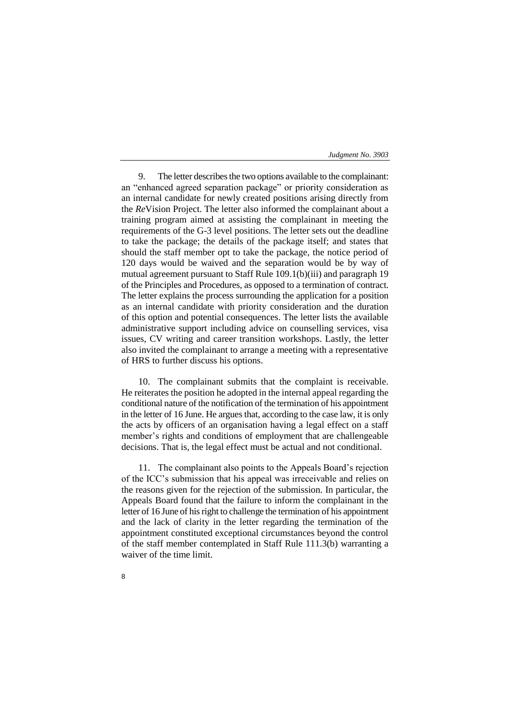9. The letter describes the two options available to the complainant: an "enhanced agreed separation package" or priority consideration as an internal candidate for newly created positions arising directly from the *Re*Vision Project. The letter also informed the complainant about a training program aimed at assisting the complainant in meeting the requirements of the G-3 level positions. The letter sets out the deadline to take the package; the details of the package itself; and states that should the staff member opt to take the package, the notice period of 120 days would be waived and the separation would be by way of mutual agreement pursuant to Staff Rule 109.1(b)(iii) and paragraph 19 of the Principles and Procedures, as opposed to a termination of contract. The letter explains the process surrounding the application for a position as an internal candidate with priority consideration and the duration of this option and potential consequences. The letter lists the available administrative support including advice on counselling services, visa issues, CV writing and career transition workshops. Lastly, the letter also invited the complainant to arrange a meeting with a representative of HRS to further discuss his options.

10. The complainant submits that the complaint is receivable. He reiterates the position he adopted in the internal appeal regarding the conditional nature of the notification of the termination of his appointment in the letter of 16 June. He argues that, according to the case law, it is only the acts by officers of an organisation having a legal effect on a staff member's rights and conditions of employment that are challengeable decisions. That is, the legal effect must be actual and not conditional.

11. The complainant also points to the Appeals Board's rejection of the ICC's submission that his appeal was irreceivable and relies on the reasons given for the rejection of the submission. In particular, the Appeals Board found that the failure to inform the complainant in the letter of 16 June of his right to challenge the termination of his appointment and the lack of clarity in the letter regarding the termination of the appointment constituted exceptional circumstances beyond the control of the staff member contemplated in Staff Rule 111.3(b) warranting a waiver of the time limit.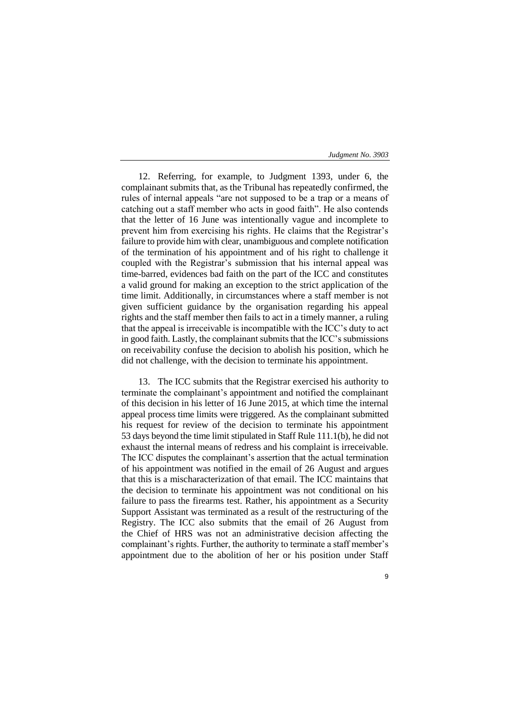12. Referring, for example, to Judgment 1393, under 6, the complainant submits that, as the Tribunal has repeatedly confirmed, the rules of internal appeals "are not supposed to be a trap or a means of catching out a staff member who acts in good faith". He also contends that the letter of 16 June was intentionally vague and incomplete to prevent him from exercising his rights. He claims that the Registrar's failure to provide him with clear, unambiguous and complete notification of the termination of his appointment and of his right to challenge it coupled with the Registrar's submission that his internal appeal was time-barred, evidences bad faith on the part of the ICC and constitutes a valid ground for making an exception to the strict application of the time limit. Additionally, in circumstances where a staff member is not given sufficient guidance by the organisation regarding his appeal rights and the staff member then fails to act in a timely manner, a ruling that the appeal is irreceivable is incompatible with the ICC's duty to act in good faith. Lastly, the complainant submits that the ICC's submissions on receivability confuse the decision to abolish his position, which he did not challenge, with the decision to terminate his appointment.

13. The ICC submits that the Registrar exercised his authority to terminate the complainant's appointment and notified the complainant of this decision in his letter of 16 June 2015, at which time the internal appeal process time limits were triggered. As the complainant submitted his request for review of the decision to terminate his appointment 53 days beyond the time limit stipulated in Staff Rule 111.1(b), he did not exhaust the internal means of redress and his complaint is irreceivable. The ICC disputes the complainant's assertion that the actual termination of his appointment was notified in the email of 26 August and argues that this is a mischaracterization of that email. The ICC maintains that the decision to terminate his appointment was not conditional on his failure to pass the firearms test. Rather, his appointment as a Security Support Assistant was terminated as a result of the restructuring of the Registry. The ICC also submits that the email of 26 August from the Chief of HRS was not an administrative decision affecting the complainant's rights. Further, the authority to terminate a staff member's appointment due to the abolition of her or his position under Staff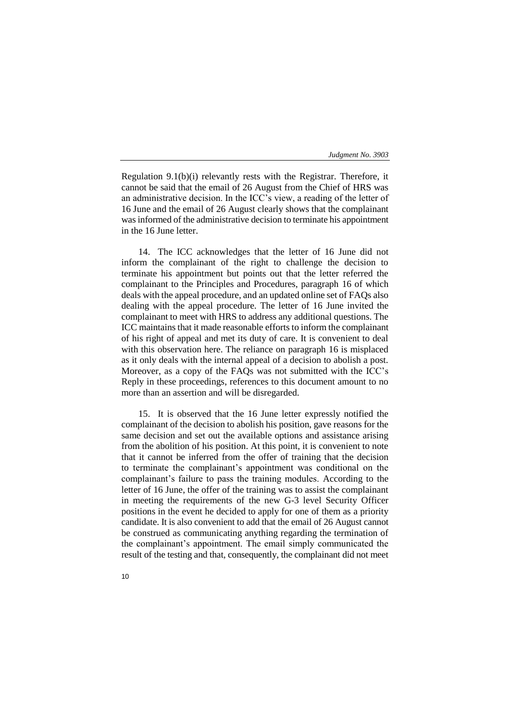Regulation 9.1(b)(i) relevantly rests with the Registrar. Therefore, it cannot be said that the email of 26 August from the Chief of HRS was an administrative decision. In the ICC's view, a reading of the letter of 16 June and the email of 26 August clearly shows that the complainant was informed of the administrative decision to terminate his appointment in the 16 June letter.

14. The ICC acknowledges that the letter of 16 June did not inform the complainant of the right to challenge the decision to terminate his appointment but points out that the letter referred the complainant to the Principles and Procedures, paragraph 16 of which deals with the appeal procedure, and an updated online set of FAQs also dealing with the appeal procedure. The letter of 16 June invited the complainant to meet with HRS to address any additional questions. The ICC maintains that it made reasonable efforts to inform the complainant of his right of appeal and met its duty of care. It is convenient to deal with this observation here. The reliance on paragraph 16 is misplaced as it only deals with the internal appeal of a decision to abolish a post. Moreover, as a copy of the FAQs was not submitted with the ICC's Reply in these proceedings, references to this document amount to no more than an assertion and will be disregarded.

15. It is observed that the 16 June letter expressly notified the complainant of the decision to abolish his position, gave reasons for the same decision and set out the available options and assistance arising from the abolition of his position. At this point, it is convenient to note that it cannot be inferred from the offer of training that the decision to terminate the complainant's appointment was conditional on the complainant's failure to pass the training modules. According to the letter of 16 June, the offer of the training was to assist the complainant in meeting the requirements of the new G-3 level Security Officer positions in the event he decided to apply for one of them as a priority candidate. It is also convenient to add that the email of 26 August cannot be construed as communicating anything regarding the termination of the complainant's appointment. The email simply communicated the result of the testing and that, consequently, the complainant did not meet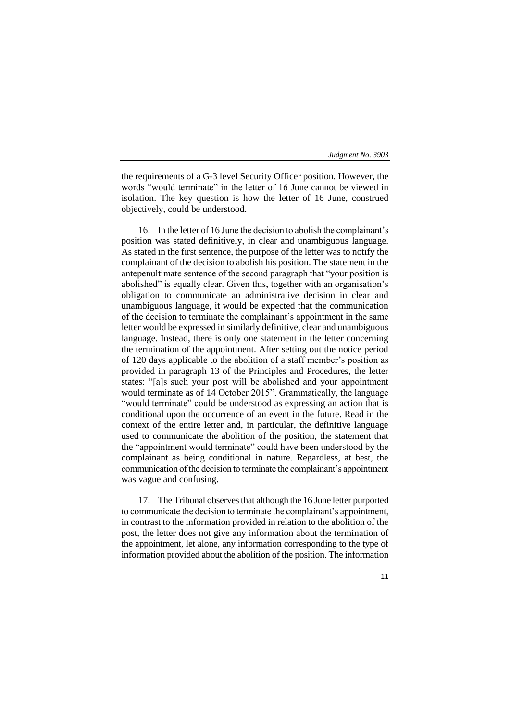the requirements of a G-3 level Security Officer position. However, the words "would terminate" in the letter of 16 June cannot be viewed in isolation. The key question is how the letter of 16 June, construed objectively, could be understood.

16. In the letter of 16 June the decision to abolish the complainant's position was stated definitively, in clear and unambiguous language. As stated in the first sentence, the purpose of the letter was to notify the complainant of the decision to abolish his position. The statement in the antepenultimate sentence of the second paragraph that "your position is abolished" is equally clear. Given this, together with an organisation's obligation to communicate an administrative decision in clear and unambiguous language, it would be expected that the communication of the decision to terminate the complainant's appointment in the same letter would be expressed in similarly definitive, clear and unambiguous language. Instead, there is only one statement in the letter concerning the termination of the appointment. After setting out the notice period of 120 days applicable to the abolition of a staff member's position as provided in paragraph 13 of the Principles and Procedures, the letter states: "[a]s such your post will be abolished and your appointment would terminate as of 14 October 2015". Grammatically, the language "would terminate" could be understood as expressing an action that is conditional upon the occurrence of an event in the future. Read in the context of the entire letter and, in particular, the definitive language used to communicate the abolition of the position, the statement that the "appointment would terminate" could have been understood by the complainant as being conditional in nature. Regardless, at best, the communication of the decision to terminate the complainant's appointment was vague and confusing.

17. The Tribunal observes that although the 16 June letter purported to communicate the decision to terminate the complainant's appointment, in contrast to the information provided in relation to the abolition of the post, the letter does not give any information about the termination of the appointment, let alone, any information corresponding to the type of information provided about the abolition of the position. The information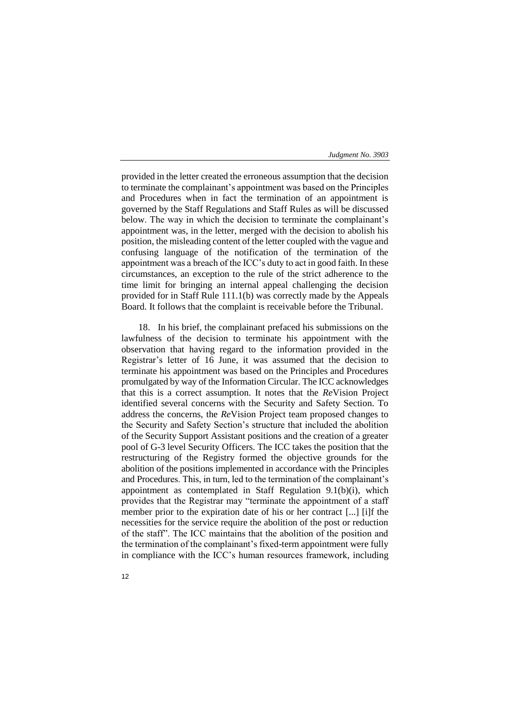provided in the letter created the erroneous assumption that the decision to terminate the complainant's appointment was based on the Principles and Procedures when in fact the termination of an appointment is governed by the Staff Regulations and Staff Rules as will be discussed below. The way in which the decision to terminate the complainant's appointment was, in the letter, merged with the decision to abolish his position, the misleading content of the letter coupled with the vague and confusing language of the notification of the termination of the appointment was a breach of the ICC's duty to act in good faith. In these circumstances, an exception to the rule of the strict adherence to the time limit for bringing an internal appeal challenging the decision provided for in Staff Rule 111.1(b) was correctly made by the Appeals Board. It follows that the complaint is receivable before the Tribunal.

18. In his brief, the complainant prefaced his submissions on the lawfulness of the decision to terminate his appointment with the observation that having regard to the information provided in the Registrar's letter of 16 June, it was assumed that the decision to terminate his appointment was based on the Principles and Procedures promulgated by way of the Information Circular. The ICC acknowledges that this is a correct assumption. It notes that the *Re*Vision Project identified several concerns with the Security and Safety Section. To address the concerns, the *Re*Vision Project team proposed changes to the Security and Safety Section's structure that included the abolition of the Security Support Assistant positions and the creation of a greater pool of G-3 level Security Officers. The ICC takes the position that the restructuring of the Registry formed the objective grounds for the abolition of the positions implemented in accordance with the Principles and Procedures. This, in turn, led to the termination of the complainant's appointment as contemplated in Staff Regulation 9.1(b)(i), which provides that the Registrar may "terminate the appointment of a staff member prior to the expiration date of his or her contract [...] [i]f the necessities for the service require the abolition of the post or reduction of the staff". The ICC maintains that the abolition of the position and the termination of the complainant's fixed-term appointment were fully in compliance with the ICC's human resources framework, including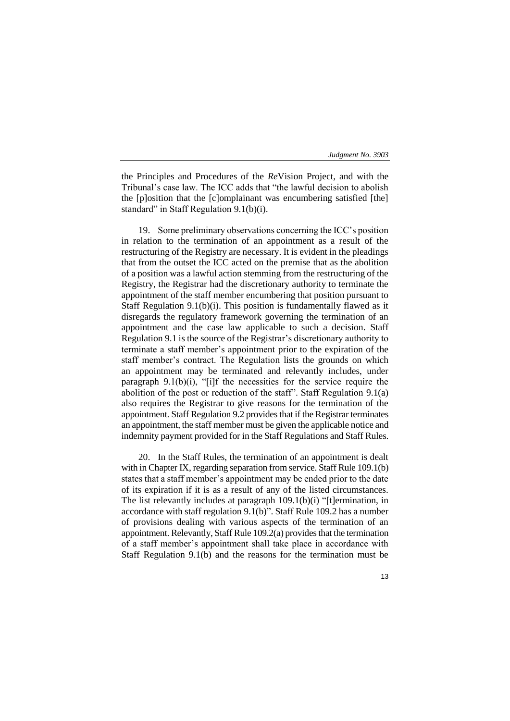the Principles and Procedures of the *Re*Vision Project, and with the Tribunal's case law. The ICC adds that "the lawful decision to abolish the [p]osition that the [c]omplainant was encumbering satisfied [the] standard" in Staff Regulation 9.1(b)(i).

19. Some preliminary observations concerning the ICC's position in relation to the termination of an appointment as a result of the restructuring of the Registry are necessary. It is evident in the pleadings that from the outset the ICC acted on the premise that as the abolition of a position was a lawful action stemming from the restructuring of the Registry, the Registrar had the discretionary authority to terminate the appointment of the staff member encumbering that position pursuant to Staff Regulation 9.1(b)(i). This position is fundamentally flawed as it disregards the regulatory framework governing the termination of an appointment and the case law applicable to such a decision. Staff Regulation 9.1 is the source of the Registrar's discretionary authority to terminate a staff member's appointment prior to the expiration of the staff member's contract. The Regulation lists the grounds on which an appointment may be terminated and relevantly includes, under paragraph 9.1(b)(i), "[i]f the necessities for the service require the abolition of the post or reduction of the staff". Staff Regulation 9.1(a) also requires the Registrar to give reasons for the termination of the appointment. Staff Regulation 9.2 provides that if the Registrar terminates an appointment, the staff member must be given the applicable notice and indemnity payment provided for in the Staff Regulations and Staff Rules.

20. In the Staff Rules, the termination of an appointment is dealt with in Chapter IX, regarding separation from service. Staff Rule 109.1(b) states that a staff member's appointment may be ended prior to the date of its expiration if it is as a result of any of the listed circumstances. The list relevantly includes at paragraph 109.1(b)(i) "[t]ermination, in accordance with staff regulation 9.1(b)". Staff Rule 109.2 has a number of provisions dealing with various aspects of the termination of an appointment. Relevantly, Staff Rule 109.2(a) provides that the termination of a staff member's appointment shall take place in accordance with Staff Regulation 9.1(b) and the reasons for the termination must be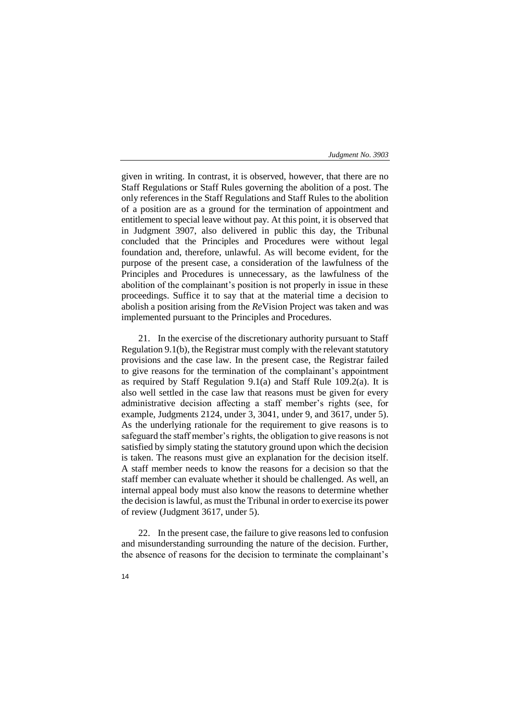given in writing. In contrast, it is observed, however, that there are no Staff Regulations or Staff Rules governing the abolition of a post. The only references in the Staff Regulations and Staff Rules to the abolition of a position are as a ground for the termination of appointment and entitlement to special leave without pay. At this point, it is observed that in Judgment 3907, also delivered in public this day, the Tribunal concluded that the Principles and Procedures were without legal foundation and, therefore, unlawful. As will become evident, for the purpose of the present case, a consideration of the lawfulness of the Principles and Procedures is unnecessary, as the lawfulness of the abolition of the complainant's position is not properly in issue in these proceedings. Suffice it to say that at the material time a decision to abolish a position arising from the *Re*Vision Project was taken and was implemented pursuant to the Principles and Procedures.

21. In the exercise of the discretionary authority pursuant to Staff Regulation 9.1(b), the Registrar must comply with the relevant statutory provisions and the case law. In the present case, the Registrar failed to give reasons for the termination of the complainant's appointment as required by Staff Regulation 9.1(a) and Staff Rule 109.2(a). It is also well settled in the case law that reasons must be given for every administrative decision affecting a staff member's rights (see, for example, Judgments 2124, under 3, 3041, under 9, and 3617, under 5). As the underlying rationale for the requirement to give reasons is to safeguard the staff member's rights, the obligation to give reasons is not satisfied by simply stating the statutory ground upon which the decision is taken. The reasons must give an explanation for the decision itself. A staff member needs to know the reasons for a decision so that the staff member can evaluate whether it should be challenged. As well, an internal appeal body must also know the reasons to determine whether the decision is lawful, as must the Tribunal in order to exercise its power of review (Judgment 3617, under 5).

22. In the present case, the failure to give reasons led to confusion and misunderstanding surrounding the nature of the decision. Further, the absence of reasons for the decision to terminate the complainant's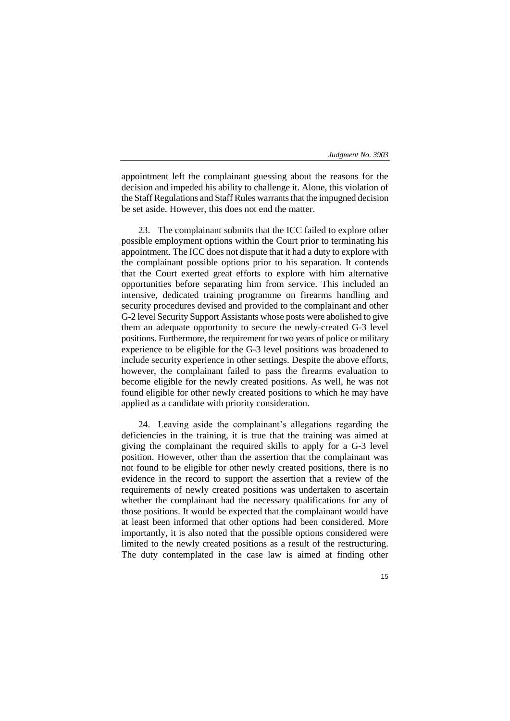appointment left the complainant guessing about the reasons for the decision and impeded his ability to challenge it. Alone, this violation of the Staff Regulations and Staff Rules warrants that the impugned decision be set aside. However, this does not end the matter.

23. The complainant submits that the ICC failed to explore other possible employment options within the Court prior to terminating his appointment. The ICC does not dispute that it had a duty to explore with the complainant possible options prior to his separation. It contends that the Court exerted great efforts to explore with him alternative opportunities before separating him from service. This included an intensive, dedicated training programme on firearms handling and security procedures devised and provided to the complainant and other G-2 level Security Support Assistants whose posts were abolished to give them an adequate opportunity to secure the newly-created G-3 level positions. Furthermore, the requirement for two years of police or military experience to be eligible for the G-3 level positions was broadened to include security experience in other settings. Despite the above efforts, however, the complainant failed to pass the firearms evaluation to become eligible for the newly created positions. As well, he was not found eligible for other newly created positions to which he may have applied as a candidate with priority consideration.

24. Leaving aside the complainant's allegations regarding the deficiencies in the training, it is true that the training was aimed at giving the complainant the required skills to apply for a G-3 level position. However, other than the assertion that the complainant was not found to be eligible for other newly created positions, there is no evidence in the record to support the assertion that a review of the requirements of newly created positions was undertaken to ascertain whether the complainant had the necessary qualifications for any of those positions. It would be expected that the complainant would have at least been informed that other options had been considered. More importantly, it is also noted that the possible options considered were limited to the newly created positions as a result of the restructuring. The duty contemplated in the case law is aimed at finding other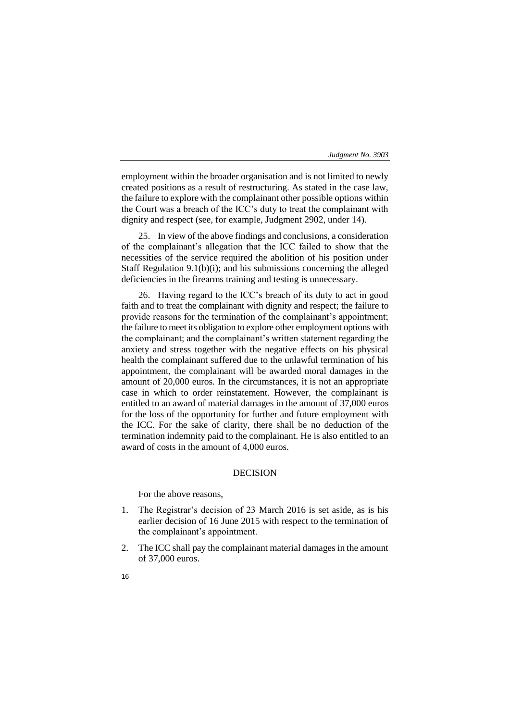employment within the broader organisation and is not limited to newly created positions as a result of restructuring. As stated in the case law, the failure to explore with the complainant other possible options within the Court was a breach of the ICC's duty to treat the complainant with dignity and respect (see, for example, Judgment 2902, under 14).

25. In view of the above findings and conclusions, a consideration of the complainant's allegation that the ICC failed to show that the necessities of the service required the abolition of his position under Staff Regulation 9.1(b)(i); and his submissions concerning the alleged deficiencies in the firearms training and testing is unnecessary.

26. Having regard to the ICC's breach of its duty to act in good faith and to treat the complainant with dignity and respect; the failure to provide reasons for the termination of the complainant's appointment; the failure to meet its obligation to explore other employment options with the complainant; and the complainant's written statement regarding the anxiety and stress together with the negative effects on his physical health the complainant suffered due to the unlawful termination of his appointment, the complainant will be awarded moral damages in the amount of 20,000 euros. In the circumstances, it is not an appropriate case in which to order reinstatement. However, the complainant is entitled to an award of material damages in the amount of 37,000 euros for the loss of the opportunity for further and future employment with the ICC. For the sake of clarity, there shall be no deduction of the termination indemnity paid to the complainant. He is also entitled to an award of costs in the amount of 4,000 euros.

# DECISION

For the above reasons,

- 1. The Registrar's decision of 23 March 2016 is set aside, as is his earlier decision of 16 June 2015 with respect to the termination of the complainant's appointment.
- 2. The ICC shall pay the complainant material damages in the amount of 37,000 euros.
- 16